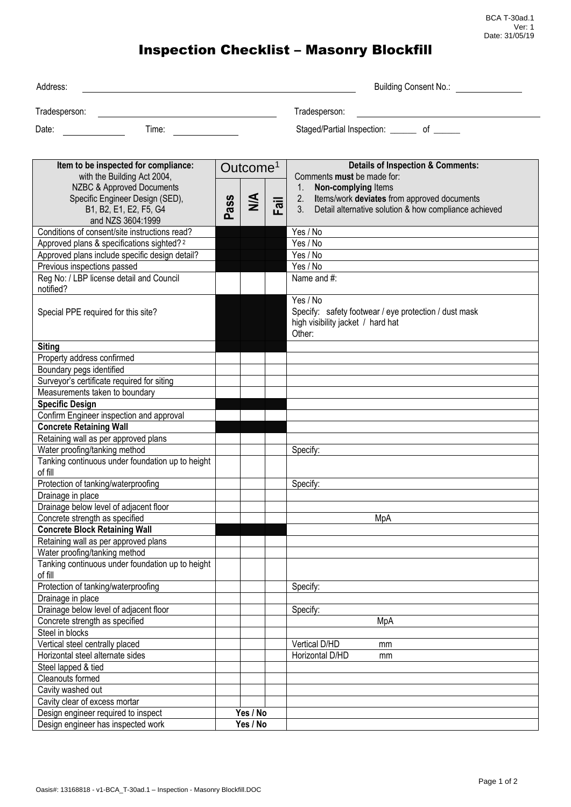## Inspection Checklist – Masonry Blockfill

| Address:                                                                                                                                                                                      |          |                                |      | <b>Building Consent No.:</b>                                                                                                                                                                                          |
|-----------------------------------------------------------------------------------------------------------------------------------------------------------------------------------------------|----------|--------------------------------|------|-----------------------------------------------------------------------------------------------------------------------------------------------------------------------------------------------------------------------|
| Tradesperson:                                                                                                                                                                                 |          |                                |      | Tradesperson:                                                                                                                                                                                                         |
| Date:<br>Time:                                                                                                                                                                                |          |                                |      | Staged/Partial Inspection: _______ of ______                                                                                                                                                                          |
|                                                                                                                                                                                               |          |                                |      |                                                                                                                                                                                                                       |
| Item to be inspected for compliance:<br>with the Building Act 2004,<br><b>NZBC &amp; Approved Documents</b><br>Specific Engineer Design (SED),<br>B1, B2, E1, E2, F5, G4<br>and NZS 3604:1999 | ass<br>മ | Outcome <sup>1</sup><br>$\leq$ | Fail | <b>Details of Inspection &amp; Comments:</b><br>Comments must be made for:<br>Non-complying Items<br>1.<br>2. Items/work deviates from approved documents<br>3. Detail alternative solution & how compliance achieved |
| Conditions of consent/site instructions read?                                                                                                                                                 |          |                                |      | Yes / No                                                                                                                                                                                                              |
| Approved plans & specifications sighted? <sup>2</sup>                                                                                                                                         |          |                                |      | Yes / No                                                                                                                                                                                                              |
| Approved plans include specific design detail?                                                                                                                                                |          |                                |      | Yes / No                                                                                                                                                                                                              |
| Previous inspections passed                                                                                                                                                                   |          |                                |      | Yes / No                                                                                                                                                                                                              |
| Reg No: / LBP license detail and Council<br>notified?                                                                                                                                         |          |                                |      | Name and #:                                                                                                                                                                                                           |
| Special PPE required for this site?                                                                                                                                                           |          |                                |      | Yes / No<br>Specify: safety footwear / eye protection / dust mask<br>high visibility jacket / hard hat<br>Other:                                                                                                      |
| <b>Siting</b>                                                                                                                                                                                 |          |                                |      |                                                                                                                                                                                                                       |
| Property address confirmed                                                                                                                                                                    |          |                                |      |                                                                                                                                                                                                                       |
| Boundary pegs identified                                                                                                                                                                      |          |                                |      |                                                                                                                                                                                                                       |
| Surveyor's certificate required for siting                                                                                                                                                    |          |                                |      |                                                                                                                                                                                                                       |
| Measurements taken to boundary                                                                                                                                                                |          |                                |      |                                                                                                                                                                                                                       |
| <b>Specific Design</b>                                                                                                                                                                        |          |                                |      |                                                                                                                                                                                                                       |
| Confirm Engineer inspection and approval                                                                                                                                                      |          |                                |      |                                                                                                                                                                                                                       |
| <b>Concrete Retaining Wall</b>                                                                                                                                                                |          |                                |      |                                                                                                                                                                                                                       |
| Retaining wall as per approved plans                                                                                                                                                          |          |                                |      |                                                                                                                                                                                                                       |
| Water proofing/tanking method                                                                                                                                                                 |          |                                |      | Specify:                                                                                                                                                                                                              |
| Tanking continuous under foundation up to height<br>of fill                                                                                                                                   |          |                                |      |                                                                                                                                                                                                                       |
| Protection of tanking/waterproofing                                                                                                                                                           |          |                                |      | Specify:                                                                                                                                                                                                              |
| Drainage in place                                                                                                                                                                             |          |                                |      |                                                                                                                                                                                                                       |
| Drainage below level of adjacent floor                                                                                                                                                        |          |                                |      |                                                                                                                                                                                                                       |
| Concrete strength as specified                                                                                                                                                                |          |                                |      | MpA                                                                                                                                                                                                                   |
| <b>Concrete Block Retaining Wall</b>                                                                                                                                                          |          |                                |      |                                                                                                                                                                                                                       |
| Retaining wall as per approved plans                                                                                                                                                          |          |                                |      |                                                                                                                                                                                                                       |
| Water proofing/tanking method<br>Tanking continuous under foundation up to height                                                                                                             |          |                                |      |                                                                                                                                                                                                                       |
| of fill                                                                                                                                                                                       |          |                                |      |                                                                                                                                                                                                                       |
| Protection of tanking/waterproofing                                                                                                                                                           |          |                                |      | Specify:                                                                                                                                                                                                              |
| Drainage in place<br>Drainage below level of adjacent floor                                                                                                                                   |          |                                |      | Specify:                                                                                                                                                                                                              |
| Concrete strength as specified                                                                                                                                                                |          |                                |      | MpA                                                                                                                                                                                                                   |
| Steel in blocks                                                                                                                                                                               |          |                                |      |                                                                                                                                                                                                                       |
| Vertical steel centrally placed                                                                                                                                                               |          |                                |      | Vertical D/HD<br>mm                                                                                                                                                                                                   |
| Horizontal steel alternate sides                                                                                                                                                              |          |                                |      | Horizontal D/HD<br>mm                                                                                                                                                                                                 |
| Steel lapped & tied                                                                                                                                                                           |          |                                |      |                                                                                                                                                                                                                       |
| Cleanouts formed                                                                                                                                                                              |          |                                |      |                                                                                                                                                                                                                       |
| Cavity washed out                                                                                                                                                                             |          |                                |      |                                                                                                                                                                                                                       |
| Cavity clear of excess mortar                                                                                                                                                                 |          |                                |      |                                                                                                                                                                                                                       |
| Design engineer required to inspect                                                                                                                                                           |          | Yes / No                       |      |                                                                                                                                                                                                                       |
| Design engineer has inspected work                                                                                                                                                            |          | Yes / No                       |      |                                                                                                                                                                                                                       |